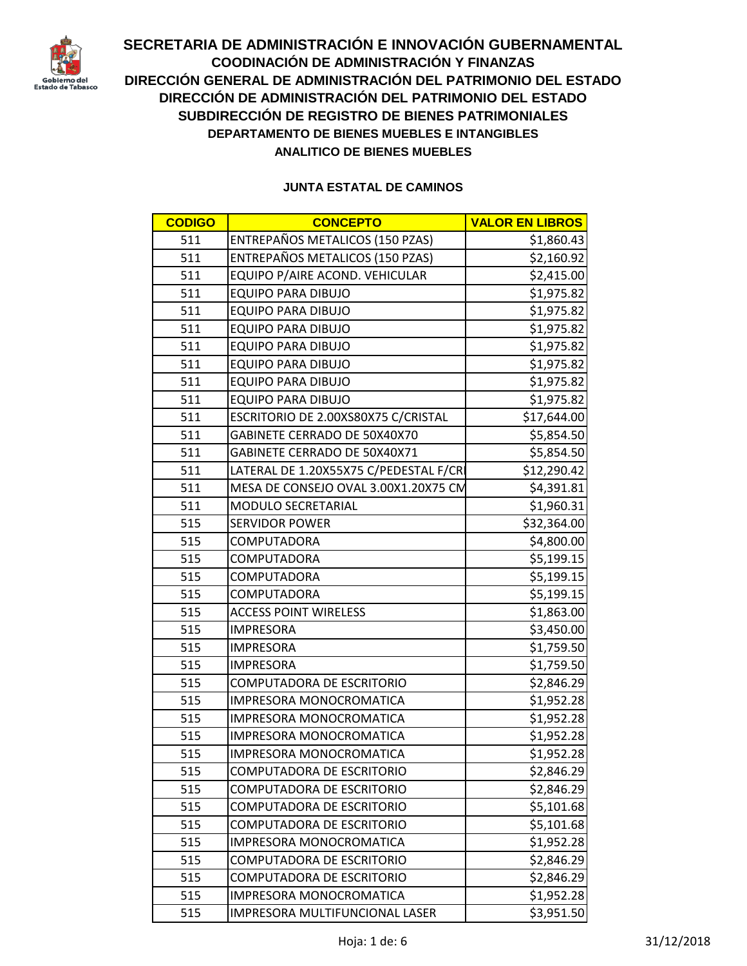

| <b>CODIGO</b> | <b>CONCEPTO</b>                              | <b>VALOR EN LIBROS</b> |
|---------------|----------------------------------------------|------------------------|
| 511           | ENTREPAÑOS METALICOS (150 PZAS)              | \$1,860.43             |
| 511           | ENTREPAÑOS METALICOS (150 PZAS)              | \$2,160.92             |
| 511           | EQUIPO P/AIRE ACOND. VEHICULAR<br>\$2,415.00 |                        |
| 511           | <b>EQUIPO PARA DIBUJO</b>                    | \$1,975.82             |
| 511           | <b>EQUIPO PARA DIBUJO</b>                    | \$1,975.82             |
| 511           | <b>EQUIPO PARA DIBUJO</b>                    | \$1,975.82             |
| 511           | <b>EQUIPO PARA DIBUJO</b>                    | \$1,975.82             |
| 511           | <b>EQUIPO PARA DIBUJO</b>                    | \$1,975.82             |
| 511           | <b>EQUIPO PARA DIBUJO</b>                    | \$1,975.82             |
| 511           | <b>EQUIPO PARA DIBUJO</b>                    | \$1,975.82             |
| 511           | ESCRITORIO DE 2.00XS80X75 C/CRISTAL          | \$17,644.00            |
| 511           | GABINETE CERRADO DE 50X40X70                 | \$5,854.50             |
| 511           | GABINETE CERRADO DE 50X40X71                 | \$5,854.50             |
| 511           | LATERAL DE 1.20X55X75 C/PEDESTAL F/CRI       | \$12,290.42            |
| 511           | MESA DE CONSEJO OVAL 3.00X1.20X75 CM         | \$4,391.81             |
| 511           | MODULO SECRETARIAL                           | \$1,960.31             |
| 515           | <b>SERVIDOR POWER</b>                        | \$32,364.00            |
| 515           | <b>COMPUTADORA</b>                           | \$4,800.00             |
| 515           | <b>COMPUTADORA</b>                           | \$5,199.15             |
| 515           | COMPUTADORA                                  | \$5,199.15             |
| 515           | <b>COMPUTADORA</b>                           | \$5,199.15             |
| 515           | <b>ACCESS POINT WIRELESS</b>                 | \$1,863.00             |
| 515           | <b>IMPRESORA</b>                             | \$3,450.00             |
| 515           | <b>IMPRESORA</b>                             | \$1,759.50             |
| 515           | <b>IMPRESORA</b>                             | \$1,759.50             |
| 515           | <b>COMPUTADORA DE ESCRITORIO</b>             | \$2,846.29             |
| 515           | IMPRESORA MONOCROMATICA                      | \$1,952.28             |
| 515           | IMPRESORA MONOCROMATICA                      | \$1,952.28             |
| 515           | IMPRESORA MONOCROMATICA                      | \$1,952.28             |
| 515           | IMPRESORA MONOCROMATICA                      | \$1,952.28             |
| 515           | <b>COMPUTADORA DE ESCRITORIO</b>             | \$2,846.29             |
| 515           | <b>COMPUTADORA DE ESCRITORIO</b>             | \$2,846.29             |
| 515           | <b>COMPUTADORA DE ESCRITORIO</b>             | \$5,101.68             |
| 515           | <b>COMPUTADORA DE ESCRITORIO</b>             | \$5,101.68             |
| 515           | IMPRESORA MONOCROMATICA                      | \$1,952.28             |
| 515           | COMPUTADORA DE ESCRITORIO                    | \$2,846.29             |
| 515           | <b>COMPUTADORA DE ESCRITORIO</b>             | \$2,846.29             |
| 515           | <b>IMPRESORA MONOCROMATICA</b>               | \$1,952.28             |
| 515           | IMPRESORA MULTIFUNCIONAL LASER               | \$3,951.50             |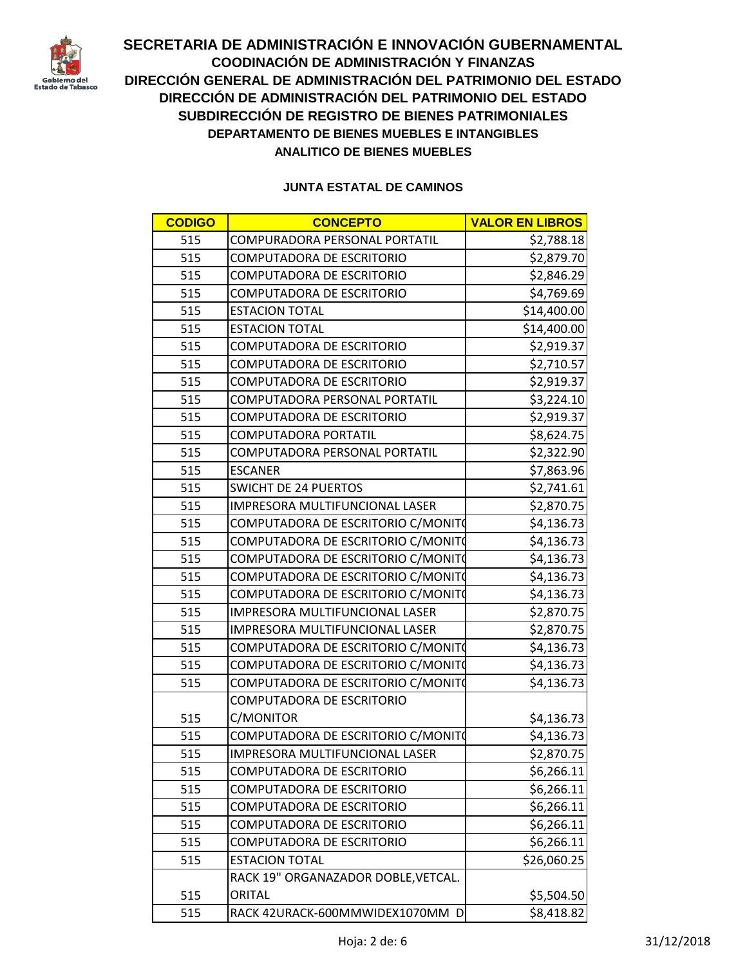

| <b>CODIGO</b> | <b>CONCEPTO</b>                     | <b>VALOR EN LIBROS</b> |
|---------------|-------------------------------------|------------------------|
| 515           | COMPURADORA PERSONAL PORTATIL       | \$2,788.18             |
| 515           | <b>COMPUTADORA DE ESCRITORIO</b>    | \$2,879.70             |
| 515           | <b>COMPUTADORA DE ESCRITORIO</b>    | \$2,846.29             |
| 515           | COMPUTADORA DE ESCRITORIO           | \$4,769.69             |
| 515           | <b>ESTACION TOTAL</b>               | \$14,400.00            |
| 515           | <b>ESTACION TOTAL</b>               | \$14,400.00            |
| 515           | <b>COMPUTADORA DE ESCRITORIO</b>    | \$2,919.37             |
| 515           | <b>COMPUTADORA DE ESCRITORIO</b>    | \$2,710.57             |
| 515           | <b>COMPUTADORA DE ESCRITORIO</b>    | \$2,919.37             |
| 515           | COMPUTADORA PERSONAL PORTATIL       | \$3,224.10             |
| 515           | <b>COMPUTADORA DE ESCRITORIO</b>    | \$2,919.37             |
| 515           | COMPUTADORA PORTATIL                | \$8,624.75             |
| 515           | COMPUTADORA PERSONAL PORTATIL       | \$2,322.90             |
| 515           | <b>ESCANER</b>                      | \$7,863.96             |
| 515           | <b>SWICHT DE 24 PUERTOS</b>         | \$2,741.61             |
| 515           | IMPRESORA MULTIFUNCIONAL LASER      | \$2,870.75             |
| 515           | COMPUTADORA DE ESCRITORIO C/MONITO  | \$4,136.73             |
| 515           | COMPUTADORA DE ESCRITORIO C/MONITO  | \$4,136.73             |
| 515           | COMPUTADORA DE ESCRITORIO C/MONITO  | \$4,136.73             |
| 515           | COMPUTADORA DE ESCRITORIO C/MONITO  | \$4,136.73             |
| 515           | COMPUTADORA DE ESCRITORIO C/MONITO  | \$4,136.73             |
| 515           | IMPRESORA MULTIFUNCIONAL LASER      | \$2,870.75             |
| 515           | IMPRESORA MULTIFUNCIONAL LASER      | \$2,870.75             |
| 515           | COMPUTADORA DE ESCRITORIO C/MONITO  | \$4,136.73             |
| 515           | COMPUTADORA DE ESCRITORIO C/MONITO  | \$4,136.73             |
| 515           | COMPUTADORA DE ESCRITORIO C/MONITO  | \$4,136.73             |
|               | <b>COMPUTADORA DE ESCRITORIO</b>    |                        |
| 515           | C/MONITOR                           | \$4,136.73             |
| 515           | COMPUTADORA DE ESCRITORIO C/MONITO  | \$4,136.73             |
| 515           | IMPRESORA MULTIFUNCIONAL LASER      | \$2,870.75             |
| 515           | <b>COMPUTADORA DE ESCRITORIO</b>    | \$6,266.11             |
| 515           | <b>COMPUTADORA DE ESCRITORIO</b>    | \$6,266.11             |
| 515           | <b>COMPUTADORA DE ESCRITORIO</b>    | \$6,266.11             |
| 515           | <b>COMPUTADORA DE ESCRITORIO</b>    | \$6,266.11             |
| 515           | <b>COMPUTADORA DE ESCRITORIO</b>    | \$6,266.11             |
| 515           | <b>ESTACION TOTAL</b>               | \$26,060.25            |
|               | RACK 19" ORGANAZADOR DOBLE, VETCAL. |                        |
| 515           | <b>ORITAL</b>                       | \$5,504.50             |
| 515           | RACK 42URACK-600MMWIDEX1070MM D     | \$8,418.82             |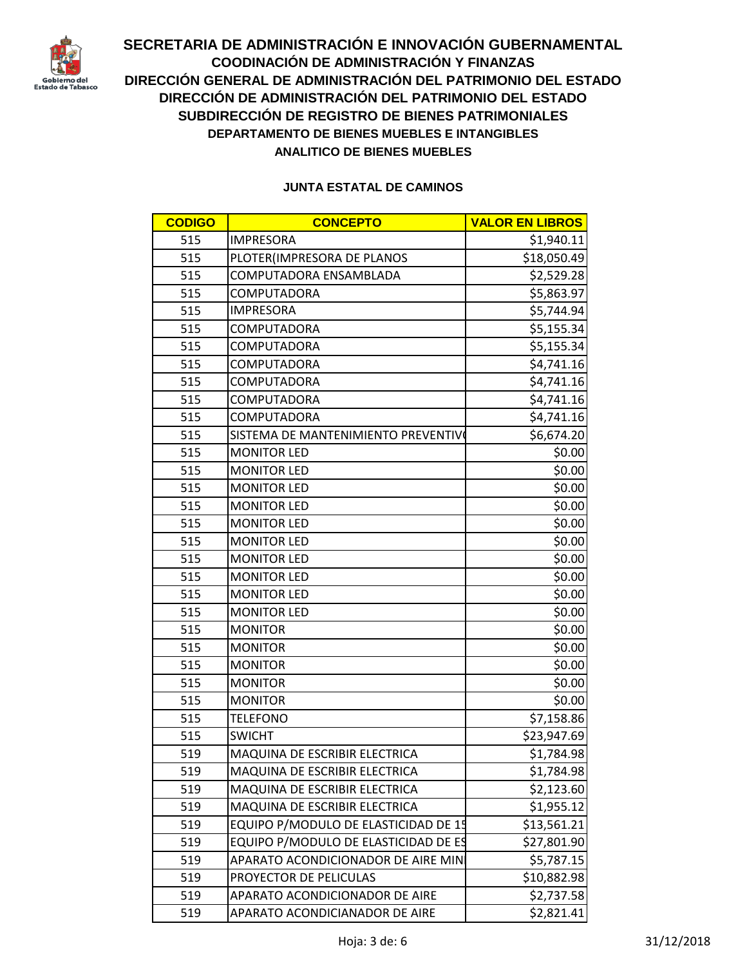

| <b>CODIGO</b> | <b>CONCEPTO</b>                      | <b>VALOR EN LIBROS</b> |
|---------------|--------------------------------------|------------------------|
| 515           | <b>IMPRESORA</b>                     | \$1,940.11             |
| 515           | PLOTER(IMPRESORA DE PLANOS           | \$18,050.49            |
| 515           | COMPUTADORA ENSAMBLADA               | \$2,529.28             |
| 515           | COMPUTADORA                          | \$5,863.97             |
| 515           | <b>IMPRESORA</b>                     | \$5,744.94             |
| 515           | <b>COMPUTADORA</b>                   | \$5,155.34             |
| 515           | <b>COMPUTADORA</b>                   | \$5,155.34             |
| 515           | <b>COMPUTADORA</b>                   | \$4,741.16             |
| 515           | <b>COMPUTADORA</b>                   | \$4,741.16             |
| 515           | <b>COMPUTADORA</b>                   | \$4,741.16             |
| 515           | <b>COMPUTADORA</b>                   | \$4,741.16             |
| 515           | SISTEMA DE MANTENIMIENTO PREVENTIVO  | \$6,674.20             |
| 515           | <b>MONITOR LED</b>                   | \$0.00                 |
| 515           | <b>MONITOR LED</b>                   | \$0.00                 |
| 515           | <b>MONITOR LED</b>                   | \$0.00                 |
| 515           | <b>MONITOR LED</b>                   | \$0.00                 |
| 515           | <b>MONITOR LED</b>                   | \$0.00                 |
| 515           | <b>MONITOR LED</b>                   | \$0.00                 |
| 515           | <b>MONITOR LED</b>                   | \$0.00                 |
| 515           | <b>MONITOR LED</b>                   | \$0.00                 |
| 515           | <b>MONITOR LED</b>                   | \$0.00                 |
| 515           | <b>MONITOR LED</b>                   | \$0.00                 |
| 515           | <b>MONITOR</b>                       | \$0.00                 |
| 515           | <b>MONITOR</b>                       | \$0.00                 |
| 515           | <b>MONITOR</b>                       | \$0.00                 |
| 515           | <b>MONITOR</b>                       | \$0.00                 |
| 515           | <b>MONITOR</b>                       | \$0.00                 |
| 515           | <b>TELEFONO</b>                      | \$7,158.86             |
| 515           | <b>SWICHT</b>                        | \$23,947.69            |
| 519           | MAQUINA DE ESCRIBIR ELECTRICA        | \$1,784.98             |
| 519           | MAQUINA DE ESCRIBIR ELECTRICA        | \$1,784.98             |
| 519           | MAQUINA DE ESCRIBIR ELECTRICA        | \$2,123.60             |
| 519           | MAQUINA DE ESCRIBIR ELECTRICA        | \$1,955.12             |
| 519           | EQUIPO P/MODULO DE ELASTICIDAD DE 15 | \$13,561.21            |
| 519           | EQUIPO P/MODULO DE ELASTICIDAD DE ES | \$27,801.90            |
| 519           | APARATO ACONDICIONADOR DE AIRE MIN   | \$5,787.15             |
| 519           | PROYECTOR DE PELICULAS               | \$10,882.98            |
| 519           | APARATO ACONDICIONADOR DE AIRE       | \$2,737.58             |
| 519           | APARATO ACONDICIANADOR DE AIRE       | \$2,821.41             |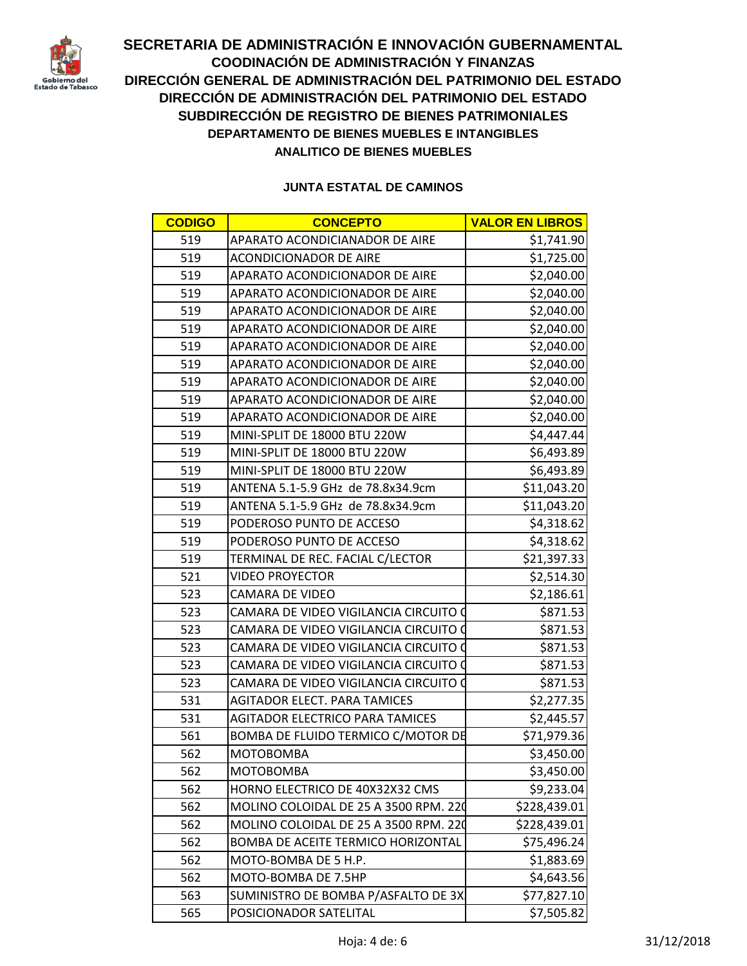

| <b>CODIGO</b> | <b>CONCEPTO</b>                        | <b>VALOR EN LIBROS</b> |
|---------------|----------------------------------------|------------------------|
| 519           | APARATO ACONDICIANADOR DE AIRE         | \$1,741.90             |
| 519           | <b>ACONDICIONADOR DE AIRE</b>          | \$1,725.00             |
| 519           | APARATO ACONDICIONADOR DE AIRE         | \$2,040.00             |
| 519           | APARATO ACONDICIONADOR DE AIRE         | \$2,040.00             |
| 519           | APARATO ACONDICIONADOR DE AIRE         | \$2,040.00             |
| 519           | APARATO ACONDICIONADOR DE AIRE         | \$2,040.00             |
| 519           | APARATO ACONDICIONADOR DE AIRE         | \$2,040.00             |
| 519           | APARATO ACONDICIONADOR DE AIRE         | \$2,040.00             |
| 519           | APARATO ACONDICIONADOR DE AIRE         | \$2,040.00             |
| 519           | APARATO ACONDICIONADOR DE AIRE         | \$2,040.00             |
| 519           | APARATO ACONDICIONADOR DE AIRE         | \$2,040.00             |
| 519           | MINI-SPLIT DE 18000 BTU 220W           | \$4,447.44             |
| 519           | MINI-SPLIT DE 18000 BTU 220W           | \$6,493.89             |
| 519           | MINI-SPLIT DE 18000 BTU 220W           | \$6,493.89             |
| 519           | ANTENA 5.1-5.9 GHz de 78.8x34.9cm      | \$11,043.20            |
| 519           | ANTENA 5.1-5.9 GHz de 78.8x34.9cm      | \$11,043.20            |
| 519           | PODEROSO PUNTO DE ACCESO               | \$4,318.62             |
| 519           | PODEROSO PUNTO DE ACCESO               | \$4,318.62             |
| 519           | TERMINAL DE REC. FACIAL C/LECTOR       | \$21,397.33            |
| 521           | <b>VIDEO PROYECTOR</b>                 | \$2,514.30             |
| 523           | <b>CAMARA DE VIDEO</b>                 | \$2,186.61             |
| 523           | CAMARA DE VIDEO VIGILANCIA CIRCUITO O  | \$871.53               |
| 523           | CAMARA DE VIDEO VIGILANCIA CIRCUITO O  | \$871.53               |
| 523           | CAMARA DE VIDEO VIGILANCIA CIRCUITO O  | \$871.53               |
| 523           | CAMARA DE VIDEO VIGILANCIA CIRCUITO (  | \$871.53               |
| 523           | CAMARA DE VIDEO VIGILANCIA CIRCUITO O  | \$871.53               |
| 531           | <b>AGITADOR ELECT. PARA TAMICES</b>    | \$2,277.35             |
| 531           | <b>AGITADOR ELECTRICO PARA TAMICES</b> | \$2,445.57             |
| 561           | BOMBA DE FLUIDO TERMICO C/MOTOR DE     | \$71,979.36            |
| 562           | МОТОВОМВА                              | \$3,450.00             |
| 562           | <b>MOTOBOMBA</b>                       | \$3,450.00             |
| 562           | HORNO ELECTRICO DE 40X32X32 CMS        | \$9,233.04             |
| 562           | MOLINO COLOIDAL DE 25 A 3500 RPM. 220  | \$228,439.01           |
| 562           | MOLINO COLOIDAL DE 25 A 3500 RPM. 220  | \$228,439.01           |
| 562           | BOMBA DE ACEITE TERMICO HORIZONTAL     | \$75,496.24            |
| 562           | MOTO-BOMBA DE 5 H.P.                   | \$1,883.69             |
| 562           | MOTO-BOMBA DE 7.5HP                    | \$4,643.56             |
| 563           | SUMINISTRO DE BOMBA P/ASFALTO DE 3X    | \$77,827.10            |
| 565           | POSICIONADOR SATELITAL                 | \$7,505.82             |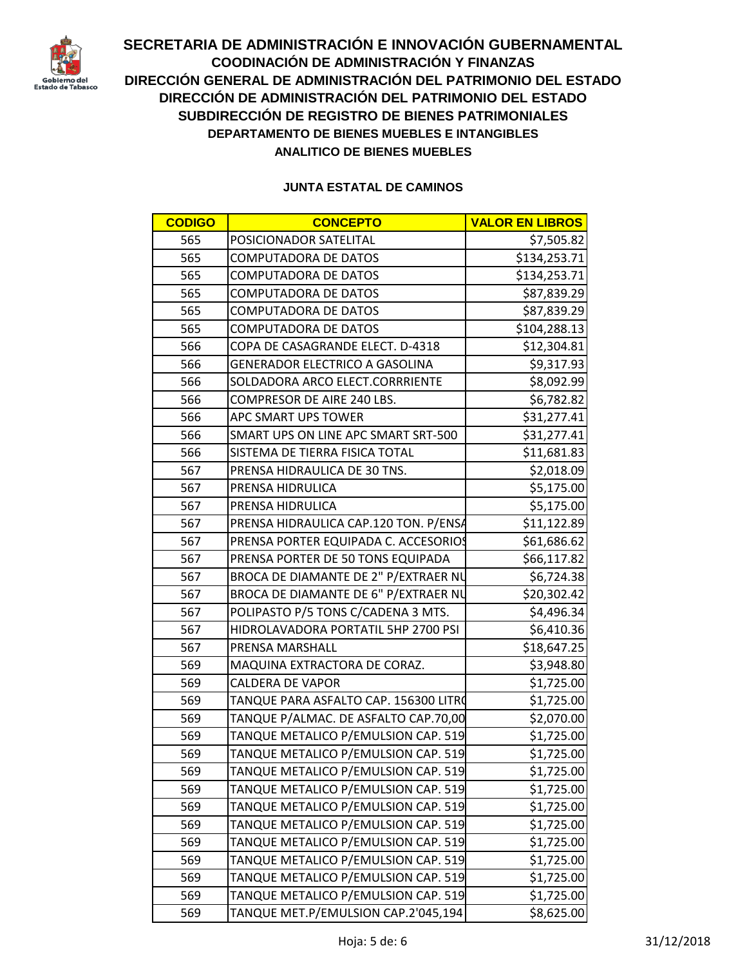

| <b>CODIGO</b> | <b>CONCEPTO</b>                            | <b>VALOR EN LIBROS</b> |  |
|---------------|--------------------------------------------|------------------------|--|
| 565           | POSICIONADOR SATELITAL                     | \$7,505.82             |  |
| 565           | <b>COMPUTADORA DE DATOS</b>                | \$134,253.71           |  |
| 565           | <b>COMPUTADORA DE DATOS</b>                | \$134,253.71           |  |
| 565           | <b>COMPUTADORA DE DATOS</b><br>\$87,839.29 |                        |  |
| 565           | <b>COMPUTADORA DE DATOS</b>                | \$87,839.29            |  |
| 565           | <b>COMPUTADORA DE DATOS</b>                | \$104,288.13           |  |
| 566           | COPA DE CASAGRANDE ELECT. D-4318           | \$12,304.81            |  |
| 566           | <b>GENERADOR ELECTRICO A GASOLINA</b>      | \$9,317.93             |  |
| 566           | SOLDADORA ARCO ELECT.CORRRIENTE            | \$8,092.99             |  |
| 566           | COMPRESOR DE AIRE 240 LBS.                 | \$6,782.82             |  |
| 566           | APC SMART UPS TOWER                        | \$31,277.41            |  |
| 566           | SMART UPS ON LINE APC SMART SRT-500        | \$31,277.41            |  |
| 566           | SISTEMA DE TIERRA FISICA TOTAL             | \$11,681.83            |  |
| 567           | PRENSA HIDRAULICA DE 30 TNS.               | \$2,018.09             |  |
| 567           | PRENSA HIDRULICA                           | \$5,175.00             |  |
| 567           | PRENSA HIDRULICA                           | \$5,175.00             |  |
| 567           | PRENSA HIDRAULICA CAP.120 TON. P/ENSA      | \$11,122.89            |  |
| 567           | PRENSA PORTER EQUIPADA C. ACCESORIOS       | \$61,686.62            |  |
| 567           | PRENSA PORTER DE 50 TONS EQUIPADA          | \$66,117.82            |  |
| 567           | BROCA DE DIAMANTE DE 2" P/EXTRAER NU       | \$6,724.38             |  |
| 567           | BROCA DE DIAMANTE DE 6" P/EXTRAER NU       | \$20,302.42            |  |
| 567           | POLIPASTO P/5 TONS C/CADENA 3 MTS.         | \$4,496.34             |  |
| 567           | HIDROLAVADORA PORTATIL 5HP 2700 PSI        | \$6,410.36             |  |
| 567           | PRENSA MARSHALL                            | \$18,647.25            |  |
| 569           | MAQUINA EXTRACTORA DE CORAZ.               | \$3,948.80             |  |
| 569           | <b>CALDERA DE VAPOR</b>                    | \$1,725.00             |  |
| 569           | TANQUE PARA ASFALTO CAP. 156300 LITRO      | \$1,725.00             |  |
| 569           | TANQUE P/ALMAC. DE ASFALTO CAP.70,00       | \$2,070.00             |  |
| 569           | TANQUE METALICO P/EMULSION CAP. 519        | \$1,725.00             |  |
| 569           | TANQUE METALICO P/EMULSION CAP. 519        | \$1,725.00             |  |
| 569           | TANQUE METALICO P/EMULSION CAP. 519        | \$1,725.00             |  |
| 569           | TANQUE METALICO P/EMULSION CAP. 519        | \$1,725.00             |  |
| 569           | TANQUE METALICO P/EMULSION CAP. 519        | \$1,725.00             |  |
| 569           | TANQUE METALICO P/EMULSION CAP. 519        | \$1,725.00             |  |
| 569           | TANQUE METALICO P/EMULSION CAP. 519        | \$1,725.00             |  |
| 569           | TANQUE METALICO P/EMULSION CAP. 519        | \$1,725.00             |  |
| 569           | TANQUE METALICO P/EMULSION CAP. 519        | \$1,725.00             |  |
| 569           | TANQUE METALICO P/EMULSION CAP. 519        | \$1,725.00             |  |
| 569           | TANQUE MET.P/EMULSION CAP.2'045,194        | \$8,625.00             |  |